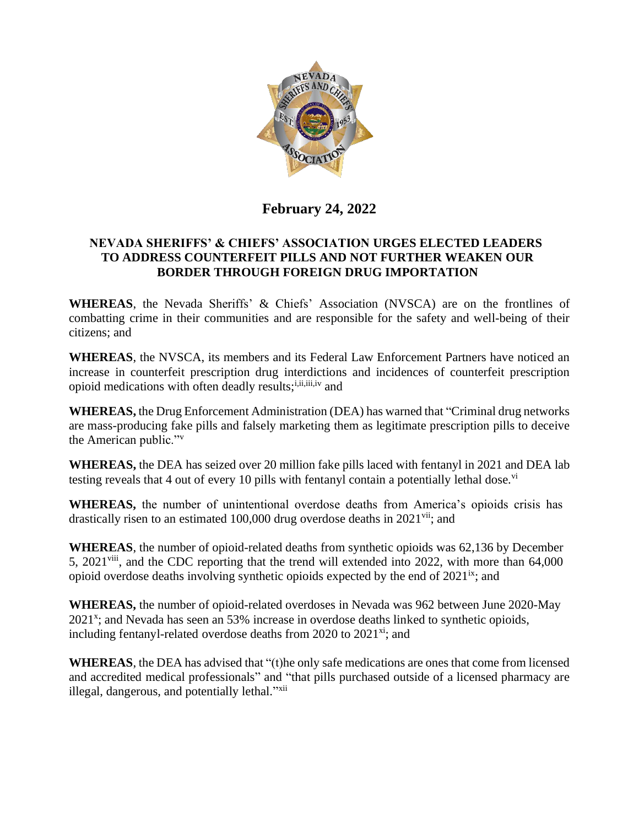

## **February 24, 2022**

## **NEVADA SHERIFFS' & CHIEFS' ASSOCIATION URGES ELECTED LEADERS TO ADDRESS COUNTERFEIT PILLS AND NOT FURTHER WEAKEN OUR BORDER THROUGH FOREIGN DRUG IMPORTATION**

**WHEREAS**, the Nevada Sheriffs' & Chiefs' Association (NVSCA) are on the frontlines of combatting crime in their communities and are responsible for the safety and well-being of their citizens; and

**WHEREAS**, the NVSCA, its members and its Federal Law Enforcement Partners have noticed an increase in counterfeit prescription drug interdictions and incidences of counterfeit prescription opioid medications with often deadly results;<sup>i,ii,iii,iv</sup> and

**WHEREAS,** the Drug Enforcement Administration (DEA) has warned that "Criminal drug networks are mass-producing fake pills and falsely marketing them as legitimate prescription pills to deceive the American public."<sup>v</sup>

**WHEREAS,** the DEA has seized over 20 million fake pills laced with fentanyl in 2021 and DEA lab testing reveals that 4 out of every 10 pills with fentanyl contain a potentially lethal dose.<sup>vi</sup>

**WHEREAS,** the number of unintentional overdose deaths from America's opioids crisis has drastically risen to an estimated 100,000 drug overdose deaths in  $2021$ <sup>vii</sup>; and

**WHEREAS**, the number of opioid-related deaths from synthetic opioids was 62,136 by December 5, 2021<sup>viii</sup>, and the CDC reporting that the trend will extended into 2022, with more than 64,000 opioid overdose deaths involving synthetic opioids expected by the end of  $2021<sup>ix</sup>$ ; and

**WHEREAS,** the number of opioid-related overdoses in Nevada was 962 between June 2020-May 2021<sup>x</sup>; and Nevada has seen an 53% increase in overdose deaths linked to synthetic opioids, including fentanyl-related overdose deaths from 2020 to  $2021^{xi}$ ; and

**WHEREAS**, the DEA has advised that "(t)he only safe medications are ones that come from licensed and accredited medical professionals" and "that pills purchased outside of a licensed pharmacy are illegal, dangerous, and potentially lethal."<sup>xii</sup>